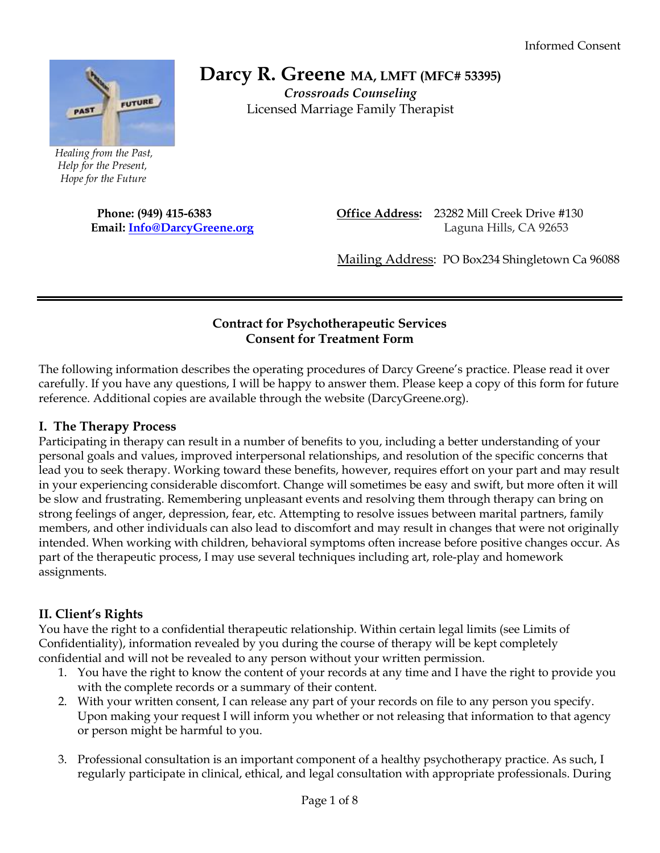**Darcy R. Greene** MA, LMFT (MFC# 53395)

*Crossroads Counseling* Licensed Marriage Family Therapist

 *Healing from the Past, Help for the Present, Hope for the Future*

 **Phone: (949) 415-6383 Office Address:** 23282 Mill Creek Drive #130 **Email:** [Info@DarcyGreene.org](mailto:Info@DarcyGreene.org) **Laguna Hills, CA 92653** Laguna Hills, CA 92653

Mailing Address: PO Box234 Shingletown Ca 96088

### **Contract for Psychotherapeutic Services Consent for Treatment Form**

The following information describes the operating procedures of Darcy Greene's practice. Please read it over carefully. If you have any questions, I will be happy to answer them. Please keep a copy of this form for future reference. Additional copies are available through the website (DarcyGreene.org).

### **I. The Therapy Process**

Participating in therapy can result in a number of benefits to you, including a better understanding of your personal goals and values, improved interpersonal relationships, and resolution of the specific concerns that lead you to seek therapy. Working toward these benefits, however, requires effort on your part and may result in your experiencing considerable discomfort. Change will sometimes be easy and swift, but more often it will be slow and frustrating. Remembering unpleasant events and resolving them through therapy can bring on strong feelings of anger, depression, fear, etc. Attempting to resolve issues between marital partners, family members, and other individuals can also lead to discomfort and may result in changes that were not originally intended. When working with children, behavioral symptoms often increase before positive changes occur. As part of the therapeutic process, I may use several techniques including art, role-play and homework assignments.

### **II. Client's Rights**

You have the right to a confidential therapeutic relationship. Within certain legal limits (see Limits of Confidentiality), information revealed by you during the course of therapy will be kept completely confidential and will not be revealed to any person without your written permission.

- 1. You have the right to know the content of your records at any time and I have the right to provide you with the complete records or a summary of their content.
- 2. With your written consent, I can release any part of your records on file to any person you specify. Upon making your request I will inform you whether or not releasing that information to that agency or person might be harmful to you.
- 3. Professional consultation is an important component of a healthy psychotherapy practice. As such, I regularly participate in clinical, ethical, and legal consultation with appropriate professionals. During

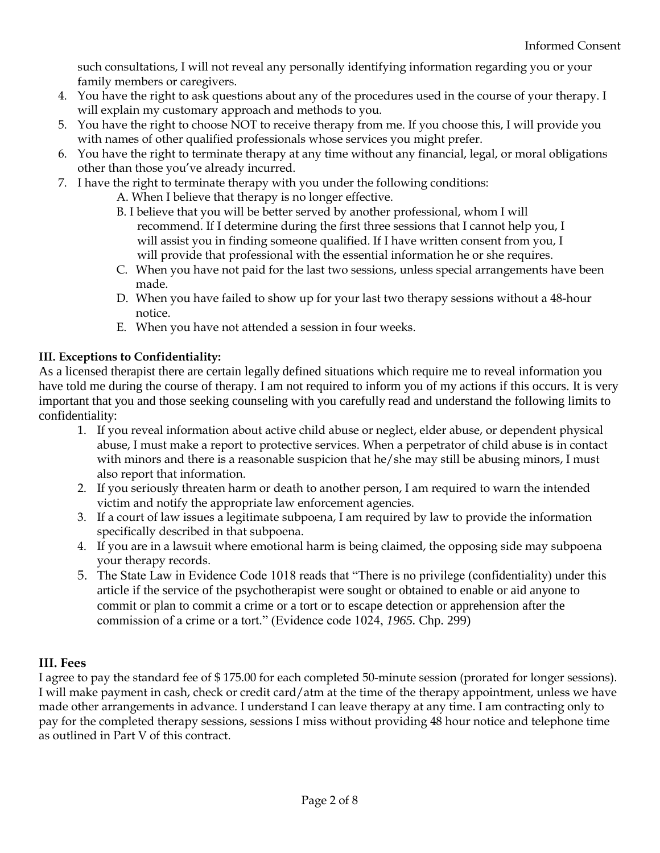such consultations, I will not reveal any personally identifying information regarding you or your family members or caregivers.

- 4. You have the right to ask questions about any of the procedures used in the course of your therapy. I will explain my customary approach and methods to you.
- 5. You have the right to choose NOT to receive therapy from me. If you choose this, I will provide you with names of other qualified professionals whose services you might prefer.
- 6. You have the right to terminate therapy at any time without any financial, legal, or moral obligations other than those you've already incurred.
- 7. I have the right to terminate therapy with you under the following conditions:
	- A. When I believe that therapy is no longer effective.
	- B. I believe that you will be better served by another professional, whom I will recommend. If I determine during the first three sessions that I cannot help you, I will assist you in finding someone qualified. If I have written consent from you, I will provide that professional with the essential information he or she requires.
	- C. When you have not paid for the last two sessions, unless special arrangements have been made.
	- D. When you have failed to show up for your last two therapy sessions without a 48-hour notice.
	- E. When you have not attended a session in four weeks.

### **III. Exceptions to Confidentiality:**

As a licensed therapist there are certain legally defined situations which require me to reveal information you have told me during the course of therapy. I am not required to inform you of my actions if this occurs. It is very important that you and those seeking counseling with you carefully read and understand the following limits to confidentiality:

- 1. If you reveal information about active child abuse or neglect, elder abuse, or dependent physical abuse, I must make a report to protective services. When a perpetrator of child abuse is in contact with minors and there is a reasonable suspicion that he/she may still be abusing minors, I must also report that information.
- 2. If you seriously threaten harm or death to another person, I am required to warn the intended victim and notify the appropriate law enforcement agencies.
- 3. If a court of law issues a legitimate subpoena, I am required by law to provide the information specifically described in that subpoena.
- 4. If you are in a lawsuit where emotional harm is being claimed, the opposing side may subpoena your therapy records.
- 5. The State Law in Evidence Code 1018 reads that "There is no privilege (confidentiality) under this article if the service of the psychotherapist were sought or obtained to enable or aid anyone to commit or plan to commit a crime or a tort or to escape detection or apprehension after the commission of a crime or a tort." (Evidence code 1024, *1965.* Chp. 299)

## **III. Fees**

I agree to pay the standard fee of \$ 175.00 for each completed 50-minute session (prorated for longer sessions). I will make payment in cash, check or credit card/atm at the time of the therapy appointment, unless we have made other arrangements in advance. I understand I can leave therapy at any time. I am contracting only to pay for the completed therapy sessions, sessions I miss without providing 48 hour notice and telephone time as outlined in Part V of this contract.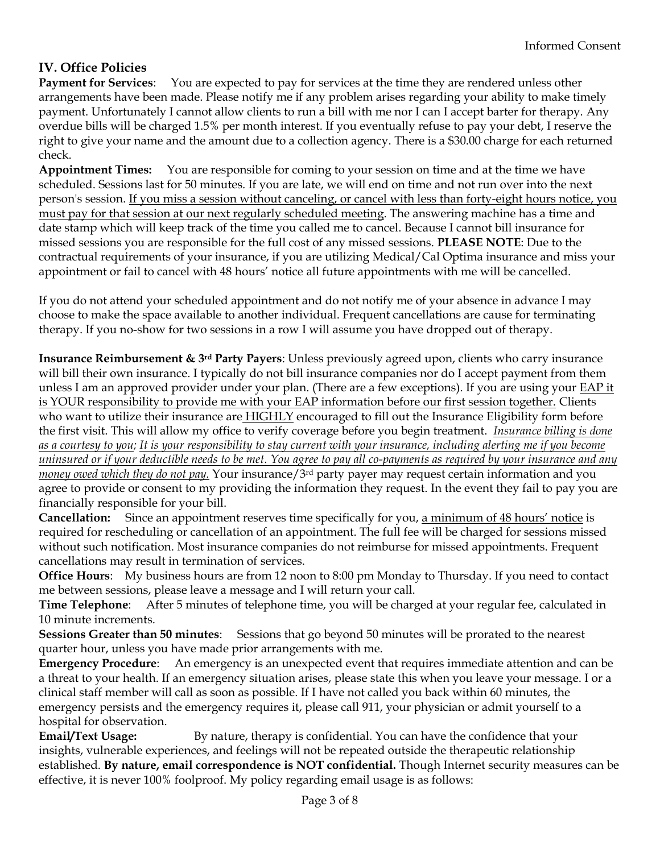## **IV. Office Policies**

**Payment for Services**: You are expected to pay for services at the time they are rendered unless other arrangements have been made. Please notify me if any problem arises regarding your ability to make timely payment. Unfortunately I cannot allow clients to run a bill with me nor I can I accept barter for therapy. Any overdue bills will be charged 1.5% per month interest. If you eventually refuse to pay your debt, I reserve the right to give your name and the amount due to a collection agency. There is a \$30.00 charge for each returned check.

**Appointment Times:** You are responsible for coming to your session on time and at the time we have scheduled. Sessions last for 50 minutes. If you are late, we will end on time and not run over into the next person's session. If you miss a session without canceling, or cancel with less than forty-eight hours notice, you must pay for that session at our next regularly scheduled meeting. The answering machine has a time and date stamp which will keep track of the time you called me to cancel. Because I cannot bill insurance for missed sessions you are responsible for the full cost of any missed sessions. **PLEASE NOTE**: Due to the contractual requirements of your insurance, if you are utilizing Medical/Cal Optima insurance and miss your appointment or fail to cancel with 48 hours' notice all future appointments with me will be cancelled.

If you do not attend your scheduled appointment and do not notify me of your absence in advance I may choose to make the space available to another individual. Frequent cancellations are cause for terminating therapy. If you no-show for two sessions in a row I will assume you have dropped out of therapy.

**Insurance Reimbursement & 3rd Party Payers**: Unless previously agreed upon, clients who carry insurance will bill their own insurance. I typically do not bill insurance companies nor do I accept payment from them unless I am an approved provider under your plan. (There are a few exceptions). If you are using your **EAP** it is YOUR responsibility to provide me with your EAP information before our first session together. Clients who want to utilize their insurance are HIGHLY encouraged to fill out the Insurance Eligibility form before the first visit. This will allow my office to verify coverage before you begin treatment. *Insurance billing is done as a courtesy to you; It is your responsibility to stay current with your insurance, including alerting me if you become uninsured or if your deductible needs to be met. You agree to pay all co-payments as required by your insurance and any money owed which they do not pay.* Your insurance/3rd party payer may request certain information and you agree to provide or consent to my providing the information they request. In the event they fail to pay you are financially responsible for your bill.

**Cancellation:** Since an appointment reserves time specifically for you, a minimum of 48 hours' notice is required for rescheduling or cancellation of an appointment. The full fee will be charged for sessions missed without such notification. Most insurance companies do not reimburse for missed appointments. Frequent cancellations may result in termination of services.

**Office Hours**: My business hours are from 12 noon to 8:00 pm Monday to Thursday. If you need to contact me between sessions, please leave a message and I will return your call.

**Time Telephone**: After 5 minutes of telephone time, you will be charged at your regular fee, calculated in 10 minute increments.

**Sessions Greater than 50 minutes**: Sessions that go beyond 50 minutes will be prorated to the nearest quarter hour, unless you have made prior arrangements with me.

**Emergency Procedure**: An emergency is an unexpected event that requires immediate attention and can be a threat to your health. If an emergency situation arises, please state this when you leave your message. I or a clinical staff member will call as soon as possible. If I have not called you back within 60 minutes, the emergency persists and the emergency requires it, please call 911, your physician or admit yourself to a hospital for observation.

**Email/Text Usage:** By nature, therapy is confidential. You can have the confidence that your insights, vulnerable experiences, and feelings will not be repeated outside the therapeutic relationship established. **By nature, email correspondence is NOT confidential.** Though Internet security measures can be effective, it is never 100% foolproof. My policy regarding email usage is as follows: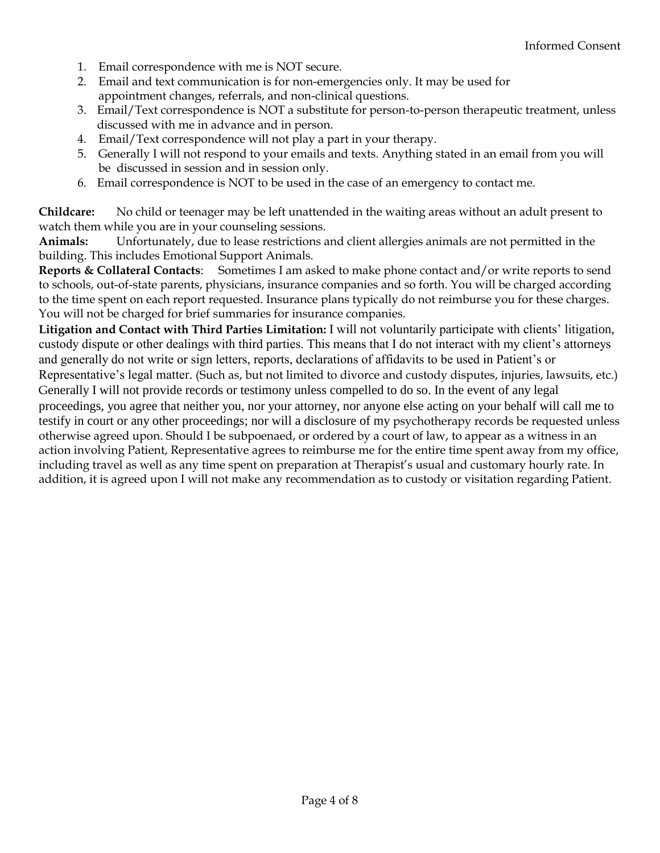- 1. Email correspondence with me is NOT secure.
- 2. Email and text communication is for non-emergencies only. It may be used for appointment changes, referrals, and non-clinical questions.
- 3. Email/Text correspondence is NOT a substitute for person-to-person therapeutic treatment, unless discussed with me in advance and in person.
- 4. Email/Text correspondence will not play a part in your therapy.
- 5. Generally I will not respond to your emails and texts. Anything stated in an email from you will be discussed in session and in session only.
- 6. Email correspondence is NOT to be used in the case of an emergency to contact me.

**Childcare:** No child or teenager may be left unattended in the waiting areas without an adult present to watch them while you are in your counseling sessions.

**Animals:** Unfortunately, due to lease restrictions and client allergies animals are not permitted in the building. This includes Emotional Support Animals.

**Reports & Collateral Contacts**: Sometimes I am asked to make phone contact and/or write reports to send to schools, out-of-state parents, physicians, insurance companies and so forth. You will be charged according to the time spent on each report requested. Insurance plans typically do not reimburse you for these charges. You will not be charged for brief summaries for insurance companies.

**Litigation and Contact with Third Parties Limitation:** I will not voluntarily participate with clients' litigation, custody dispute or other dealings with third parties. This means that I do not interact with my client's attorneys and generally do not write or sign letters, reports, declarations of affidavits to be used in Patient's or Representative's legal matter. (Such as, but not limited to divorce and custody disputes, injuries, lawsuits, etc.)

Generally I will not provide records or testimony unless compelled to do so. In the event of any legal proceedings, you agree that neither you, nor your attorney, nor anyone else acting on your behalf will call me to testify in court or any other proceedings; nor will a disclosure of my psychotherapy records be requested unless otherwise agreed upon. Should I be subpoenaed, or ordered by a court of law, to appear as a witness in an action involving Patient, Representative agrees to reimburse me for the entire time spent away from my office, including travel as well as any time spent on preparation at Therapist's usual and customary hourly rate. In addition, it is agreed upon I will not make any recommendation as to custody or visitation regarding Patient.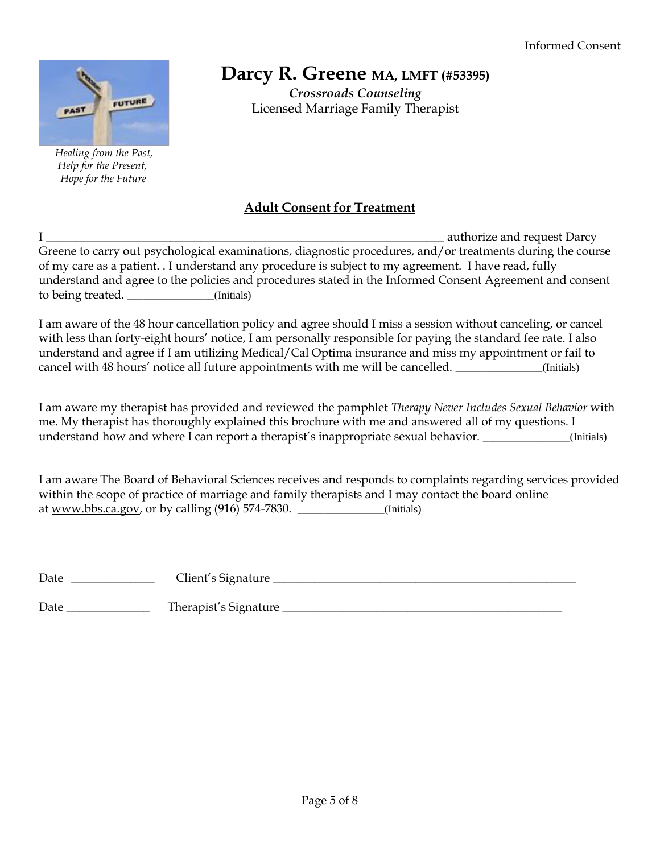

 *Healing from the Past, Help for the Present, Hope for the Future*

**Darcy R. Greene Darcy R. Greene MA, LMFT (#53395)** *Crossroads Counseling*

Licensed Marriage Family Therapist

# **Adult Consent for Treatment**

I \_\_\_\_\_\_\_\_\_\_\_\_\_\_\_\_\_\_\_\_\_\_\_\_\_\_\_\_\_\_\_\_\_\_\_\_\_\_\_\_\_\_\_\_\_\_\_\_\_\_\_\_\_\_\_\_\_\_\_\_\_\_\_\_\_\_\_ authorize and request Darcy Greene to carry out psychological examinations, diagnostic procedures, and/or treatments during the course of my care as a patient. . I understand any procedure is subject to my agreement. I have read, fully understand and agree to the policies and procedures stated in the Informed Consent Agreement and consent to being treated. \_\_\_\_\_\_\_\_\_\_\_\_\_\_\_\_(Initials)

I am aware of the 48 hour cancellation policy and agree should I miss a session without canceling, or cancel with less than forty-eight hours' notice, I am personally responsible for paying the standard fee rate. I also understand and agree if I am utilizing Medical/Cal Optima insurance and miss my appointment or fail to cancel with 48 hours' notice all future appointments with me will be cancelled. \_\_\_\_\_\_\_\_\_\_\_\_\_\_\_\_(Initials)

I am aware my therapist has provided and reviewed the pamphlet *Therapy Never Includes Sexual Behavior* with me. My therapist has thoroughly explained this brochure with me and answered all of my questions. I understand how and where I can report a therapist's inappropriate sexual behavior. \_\_\_\_\_\_\_\_\_\_\_\_\_\_\_\_(Initials)

I am aware The Board of Behavioral Sciences receives and responds to complaints regarding services provided within the scope of practice of marriage and family therapists and I may contact the board online at [www.bbs.ca.gov,](http://www.bbs.ca.gov/) or by calling (916) 574-7830. \_\_\_\_\_\_\_\_\_\_\_\_\_\_\_(Initials)

Date \_\_\_\_\_\_\_\_\_\_\_\_\_\_ Client's Signature \_\_\_\_\_\_\_\_\_\_\_\_\_\_\_\_\_\_\_\_\_\_\_\_\_\_\_\_\_\_\_\_\_\_\_\_\_\_\_\_\_\_\_\_\_\_\_\_\_\_\_

Date \_\_\_\_\_\_\_\_\_\_\_\_\_\_ Therapist's Signature \_\_\_\_\_\_\_\_\_\_\_\_\_\_\_\_\_\_\_\_\_\_\_\_\_\_\_\_\_\_\_\_\_\_\_\_\_\_\_\_\_\_\_\_\_\_\_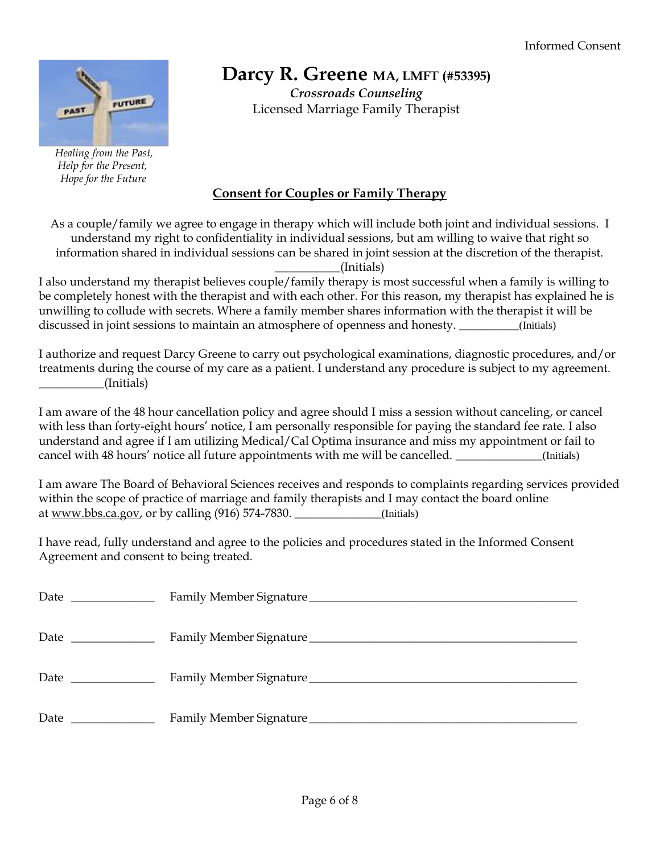

 *Healing from the Past, Help for the Present, Hope for the Future*

**Darcy R. Greene Darcy R. Greene MA, LMFT (#53395)** *Crossroads Counseling* Licensed Marriage Family Therapist

## **Consent for Couples or Family Therapy**

As a couple/family we agree to engage in therapy which will include both joint and individual sessions. I understand my right to confidentiality in individual sessions, but am willing to waive that right so information shared in individual sessions can be shared in joint session at the discretion of the therapist. \_\_\_\_\_\_\_\_\_\_\_(Initials)

I also understand my therapist believes couple/family therapy is most successful when a family is willing to be completely honest with the therapist and with each other. For this reason, my therapist has explained he is unwilling to collude with secrets. Where a family member shares information with the therapist it will be discussed in joint sessions to maintain an atmosphere of openness and honesty. \_\_\_\_\_\_\_\_\_\_\_(Initials)

I authorize and request Darcy Greene to carry out psychological examinations, diagnostic procedures, and/or treatments during the course of my care as a patient. I understand any procedure is subject to my agreement. \_\_\_\_\_\_\_\_\_\_\_(Initials)

I am aware of the 48 hour cancellation policy and agree should I miss a session without canceling, or cancel with less than forty-eight hours' notice, I am personally responsible for paying the standard fee rate. I also understand and agree if I am utilizing Medical/Cal Optima insurance and miss my appointment or fail to cancel with 48 hours' notice all future appointments with me will be cancelled. \_\_\_\_\_\_\_\_\_\_\_\_\_\_\_(Initials)

I am aware The Board of Behavioral Sciences receives and responds to complaints regarding services provided within the scope of practice of marriage and family therapists and I may contact the board online at [www.bbs.ca.gov,](http://www.bbs.ca.gov/) or by calling (916) 574-7830. \_\_\_\_\_\_\_\_\_\_\_\_\_\_\_\_(Initials)

I have read, fully understand and agree to the policies and procedures stated in the Informed Consent Agreement and consent to being treated.

|      | Family Member Signature |
|------|-------------------------|
|      |                         |
| Date | Family Member Signature |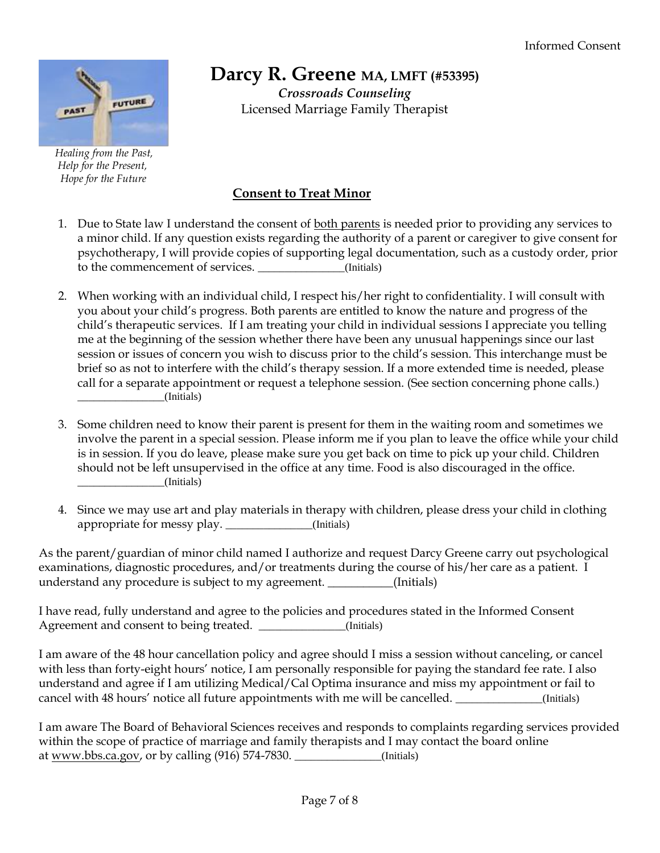

 *Healing from the Past, Help for the Present, Hope for the Future*

**Darcy R. Greene Darcy R. Greene MA, LMFT (#53395)**

*Crossroads Counseling* Licensed Marriage Family Therapist

## **Consent to Treat Minor**

- 1. Due to State law I understand the consent of both parents is needed prior to providing any services to a minor child. If any question exists regarding the authority of a parent or caregiver to give consent for psychotherapy, I will provide copies of supporting legal documentation, such as a custody order, prior to the commencement of services. \_\_\_\_\_\_\_\_\_\_\_\_\_\_\_\_(Initials)
- 2. When working with an individual child, I respect his/her right to confidentiality. I will consult with you about your child's progress. Both parents are entitled to know the nature and progress of the child's therapeutic services. If I am treating your child in individual sessions I appreciate you telling me at the beginning of the session whether there have been any unusual happenings since our last session or issues of concern you wish to discuss prior to the child's session. This interchange must be brief so as not to interfere with the child's therapy session. If a more extended time is needed, please call for a separate appointment or request a telephone session. (See section concerning phone calls.)  $\Box$  (Initials)
- 3. Some children need to know their parent is present for them in the waiting room and sometimes we involve the parent in a special session. Please inform me if you plan to leave the office while your child is in session. If you do leave, please make sure you get back on time to pick up your child. Children should not be left unsupervised in the office at any time. Food is also discouraged in the office. \_\_\_\_\_\_\_\_\_\_\_\_\_\_\_\_(Initials)
- 4. Since we may use art and play materials in therapy with children, please dress your child in clothing appropriate for messy play. \_\_\_\_\_\_\_\_\_\_\_\_\_\_\_\_(Initials)

As the parent/guardian of minor child named I authorize and request Darcy Greene carry out psychological examinations, diagnostic procedures, and/or treatments during the course of his/her care as a patient. I understand any procedure is subject to my agreement. \_\_\_\_\_\_\_\_\_\_(Initials)

I have read, fully understand and agree to the policies and procedures stated in the Informed Consent Agreement and consent to being treated. \_\_\_\_\_\_\_\_\_\_\_\_\_(Initials)

I am aware of the 48 hour cancellation policy and agree should I miss a session without canceling, or cancel with less than forty-eight hours' notice, I am personally responsible for paying the standard fee rate. I also understand and agree if I am utilizing Medical/Cal Optima insurance and miss my appointment or fail to cancel with 48 hours' notice all future appointments with me will be cancelled. \_\_\_\_\_\_\_\_\_\_\_\_\_\_\_\_(Initials)

I am aware The Board of Behavioral Sciences receives and responds to complaints regarding services provided within the scope of practice of marriage and family therapists and I may contact the board online at [www.bbs.ca.gov,](http://www.bbs.ca.gov/) or by calling (916) 574-7830. \_\_\_\_\_\_\_\_\_\_\_\_\_\_\_(Initials)